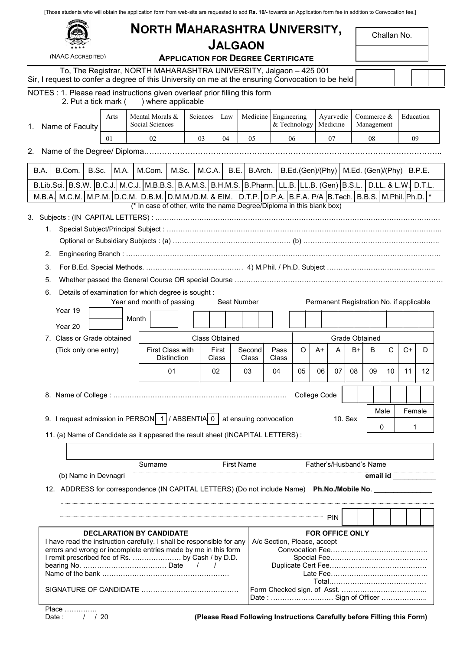[Those students who will obtain the application form from web-site are requested to add Rs. 10/- towards an Application form fee in addition to Convocation fee.]

# NORTH MAHARASHTRA UNIVERSITY,

| Challan No. |  |
|-------------|--|
|-------------|--|

| d | × | *<br>× |  |
|---|---|--------|--|
|   |   |        |  |

**The Report Former** 

(NAAC ACCREDITED)

## JALGAON APPLICATION FOR DEGREE CERTIFICATE

Challan No.

| To, The Registrar, NORTH MAHARASHTRA UNIVERSITY, Jalgaon - 425 001                                |  |  |
|---------------------------------------------------------------------------------------------------|--|--|
| Sir, I request to confer a degree of this University on me at the ensuring Convocation to be held |  |  |

# NOTES : 1. Please read instructions given overleaf prior filling this form<br>2. Put a tick mark () where applicable

2. Put a tick mark (

| 2. Fut a tion main (                                                                                             |      | , writert applicable                                                                                   |            |                       |                   |                             |              |                                          |                |                          |          |           |        |
|------------------------------------------------------------------------------------------------------------------|------|--------------------------------------------------------------------------------------------------------|------------|-----------------------|-------------------|-----------------------------|--------------|------------------------------------------|----------------|--------------------------|----------|-----------|--------|
| Name of Faculty<br>1.                                                                                            | Arts | Mental Morals &<br>Social Sciences                                                                     | Sciences   | Law                   |                   | Medicine Engineering        | & Technology | Ayurvedic<br>Medicine                    |                | Commerce &<br>Management |          | Education |        |
|                                                                                                                  | 01   | 02                                                                                                     | 03         | 04                    | 0.5               |                             | 06           | 07                                       |                | 08                       |          | 09        |        |
|                                                                                                                  |      |                                                                                                        |            |                       |                   |                             |              |                                          |                |                          |          |           |        |
|                                                                                                                  |      |                                                                                                        |            |                       |                   |                             |              |                                          |                |                          |          |           |        |
| B.A.<br>B.Com.<br>B.Sc.                                                                                          | M.A. | M.Com.<br>M.Sc.                                                                                        |            | M.C.A.<br>B.E.        | B.Arch.           |                             |              | B.Ed.(Gen)/(Phy)                         |                | M.Ed. (Gen)/(Phy)        |          |           | B.P.E. |
| B.Lib.Sci. B.S.W. B.C.J. M.C.J. M.B.B.S. B.A.M.S. B.H.M.S. B.Pharm. LL.B. LL.B. (Gen) B.S.L. D.LL. & L.W. D.T.L. |      | M.C.M. M.P.M. D.C.M. D.B.M. D.M.M./D.M. & FIM. D.T.P. D.P.A. B.F.A. P/A B.Tech. B.B.S. M.Phil. Ph.D. * |            |                       |                   |                             |              |                                          |                |                          |          |           |        |
| M.B.A.                                                                                                           |      | (* In case of other, write the name Degree/Diploma in this blank box)                                  |            |                       |                   |                             |              |                                          |                |                          |          |           |        |
|                                                                                                                  |      |                                                                                                        |            |                       |                   |                             |              |                                          |                |                          |          |           |        |
|                                                                                                                  |      |                                                                                                        |            |                       |                   |                             |              |                                          |                |                          |          |           |        |
|                                                                                                                  |      |                                                                                                        |            |                       |                   |                             |              |                                          |                |                          |          |           |        |
| 2.                                                                                                               |      |                                                                                                        |            |                       |                   |                             |              |                                          |                |                          |          |           |        |
| 3.                                                                                                               |      |                                                                                                        |            |                       |                   |                             |              |                                          |                |                          |          |           |        |
| 5.                                                                                                               |      |                                                                                                        |            |                       |                   |                             |              |                                          |                |                          |          |           |        |
| 6.                                                                                                               |      | Details of examination for which degree is sought :                                                    |            |                       |                   |                             |              |                                          |                |                          |          |           |        |
| Year 19                                                                                                          |      | Year and month of passing                                                                              |            |                       | Seat Number       |                             |              | Permanent Registration No. if applicable |                |                          |          |           |        |
|                                                                                                                  |      | Month                                                                                                  |            |                       |                   |                             |              |                                          |                |                          |          |           |        |
| Year 20                                                                                                          |      |                                                                                                        |            |                       |                   |                             |              |                                          |                |                          |          |           |        |
| 7. Class or Grade obtained                                                                                       |      |                                                                                                        |            | <b>Class Obtained</b> |                   |                             |              |                                          | Grade Obtained |                          |          |           |        |
| (Tick only one entry)                                                                                            |      | <b>First Class with</b><br>Distinction                                                                 |            | First<br>Class        | Second<br>Class   | Pass<br>Class               | O            | $A+$<br>A                                | $B+$           | B                        | С        | $C+$      | D      |
|                                                                                                                  |      | 01                                                                                                     |            | 02                    | 03                | 04                          | 05           | 07<br>06                                 | 08             | 09                       | 10       | 11        | 12     |
|                                                                                                                  |      |                                                                                                        |            |                       |                   |                             |              |                                          |                |                          |          |           |        |
|                                                                                                                  |      |                                                                                                        |            |                       |                   |                             |              | College Code                             |                |                          |          |           |        |
|                                                                                                                  |      |                                                                                                        |            |                       |                   |                             |              |                                          |                |                          | Male     | Female    |        |
| 9. I request admission in PERSON $\mid 1 \mid$ / ABSENTIA 0 $\mid$ at ensuing convocation                        |      |                                                                                                        |            |                       |                   |                             |              |                                          | 10. Sex        |                          | 0        | 1         |        |
| 11. (a) Name of Candidate as it appeared the result sheet (INCAPITAL LETTERS) :                                  |      |                                                                                                        |            |                       |                   |                             |              |                                          |                |                          |          |           |        |
|                                                                                                                  |      |                                                                                                        |            |                       |                   |                             |              |                                          |                |                          |          |           |        |
|                                                                                                                  |      | Surname                                                                                                |            |                       | <b>First Name</b> |                             |              | Father's/Husband's Name                  |                |                          |          |           |        |
| (b) Name in Devnagri                                                                                             |      |                                                                                                        |            |                       |                   |                             |              |                                          |                |                          | email id |           |        |
| 12. ADDRESS for correspondence (IN CAPITAL LETTERS) (Do not include Name) Ph.No./Mobile No. ___                  |      |                                                                                                        |            |                       |                   |                             |              |                                          |                |                          |          |           |        |
|                                                                                                                  |      |                                                                                                        |            |                       |                   |                             |              |                                          |                |                          |          |           |        |
|                                                                                                                  |      |                                                                                                        |            |                       |                   |                             |              |                                          |                |                          |          |           |        |
|                                                                                                                  |      |                                                                                                        |            |                       |                   |                             |              | <b>PIN</b>                               |                |                          |          |           |        |
| I have read the instruction carefully. I shall be responsible for any                                            |      | <b>DECLARATION BY CANDIDATE</b>                                                                        |            |                       |                   | A/c Section, Please, accept |              | <b>FOR OFFICE ONLY</b>                   |                |                          |          |           |        |
| errors and wrong or incomplete entries made by me in this form                                                   |      |                                                                                                        |            |                       |                   |                             |              |                                          |                |                          |          |           |        |
| I remit prescribed fee of Rs.  by Cash / by D.D.                                                                 |      |                                                                                                        | $\sqrt{1}$ |                       |                   |                             |              |                                          |                |                          |          |           |        |
|                                                                                                                  |      |                                                                                                        |            |                       |                   |                             |              |                                          |                |                          |          |           |        |
|                                                                                                                  |      |                                                                                                        |            |                       |                   |                             |              |                                          |                |                          |          |           |        |
|                                                                                                                  |      |                                                                                                        |            |                       |                   |                             |              |                                          |                |                          |          |           |        |

Date : ……………………… Sign of Officer ………………..